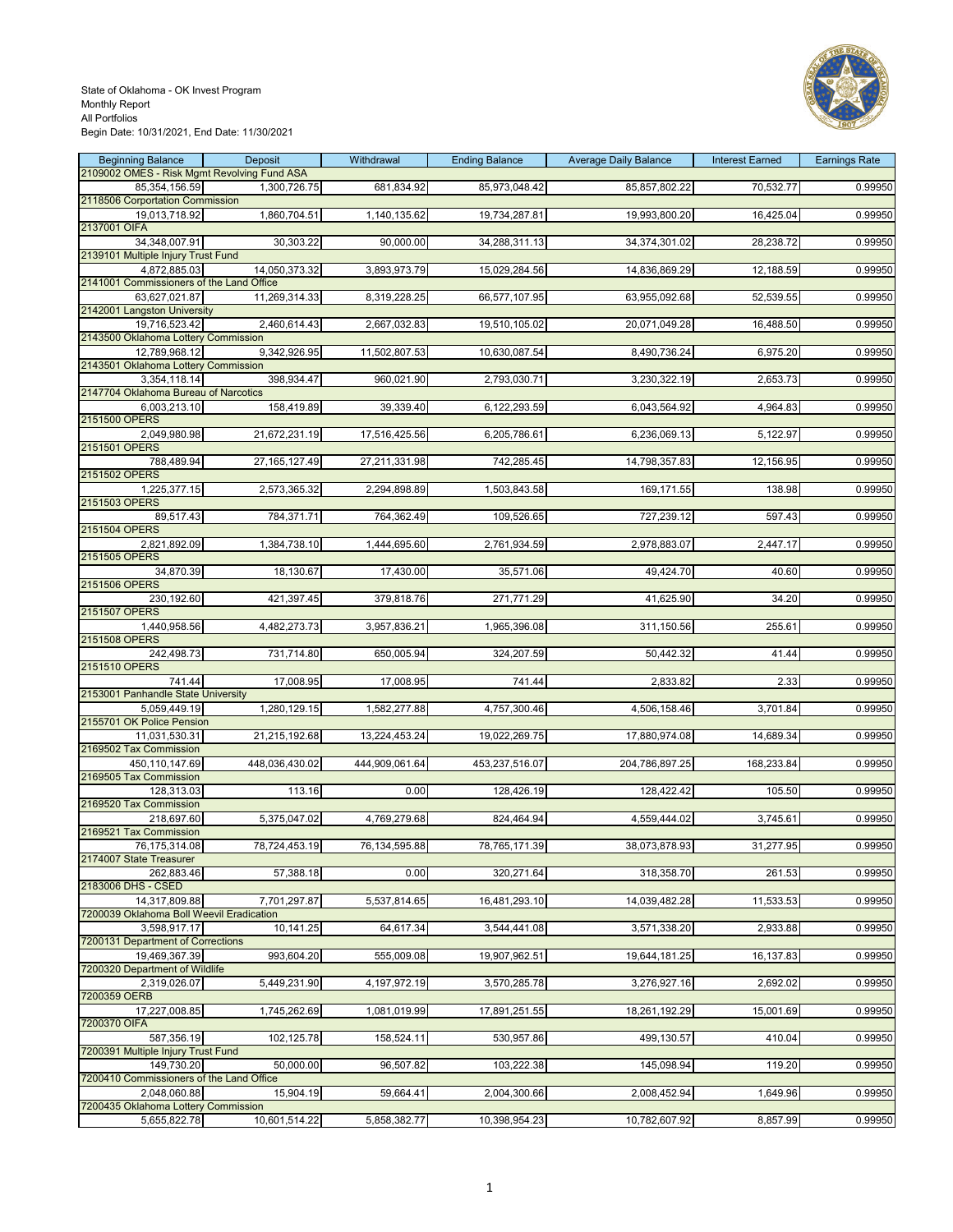

| <b>Beginning Balance</b>                            | <b>Deposit</b>  | Withdrawal     | <b>Ending Balance</b> | <b>Average Daily Balance</b> | <b>Interest Earned</b> | <b>Earnings Rate</b> |
|-----------------------------------------------------|-----------------|----------------|-----------------------|------------------------------|------------------------|----------------------|
| 2109002 OMES - Risk Mgmt Revolving Fund ASA         |                 |                |                       |                              |                        |                      |
| 85,354,156.59                                       | 1,300,726.75    | 681,834.92     | 85,973,048.42         | 85,857,802.22                | 70,532.77              | 0.99950              |
| 2118506 Corportation Commission                     |                 |                |                       |                              |                        |                      |
| 19,013,718.92                                       | 1,860,704.51    | 1,140,135.62   | 19,734,287.81         | 19,993,800.20                | 16,425.04              | 0.99950              |
| 2137001 OIFA                                        |                 |                |                       |                              |                        |                      |
| 34,348,007.91<br>2139101 Multiple Injury Trust Fund | 30,303.22       | 90,000.00      | 34,288,311.13         | 34,374,301.02                | 28,238.72              | 0.99950              |
| 4,872,885.03                                        | 14,050,373.32   | 3,893,973.79   | 15,029,284.56         | 14,836,869.29                | 12,188.59              | 0.99950              |
| 2141001 Commissioners of the Land Office            |                 |                |                       |                              |                        |                      |
| 63,627,021.87                                       | 11,269,314.33   | 8,319,228.25   | 66,577,107.95         | 63,955,092.68                | 52,539.55              | 0.99950              |
| 2142001 Langston University                         |                 |                |                       |                              |                        |                      |
| 19,716,523.42                                       | 2,460,614.43    | 2,667,032.83   | 19,510,105.02         | 20,071,049.28                | 16,488.50              | 0.99950              |
| 2143500 Oklahoma Lottery Commission                 |                 |                |                       |                              |                        |                      |
| 12,789,968.12                                       | 9,342,926.95    | 11,502,807.53  | 10,630,087.54         | 8,490,736.24                 | 6,975.20               | 0.99950              |
| 2143501 Oklahoma Lottery Commission                 |                 |                |                       |                              |                        |                      |
| 3,354,118.14                                        | 398,934.47      | 960,021.90     | 2,793,030.71          | 3,230,322.19                 | 2,653.73               | 0.99950              |
| 2147704 Oklahoma Bureau of Narcotics                |                 |                |                       |                              |                        |                      |
| 6,003,213.10<br>2151500 OPERS                       | 158,419.89      | 39,339.40      | 6,122,293.59          | 6,043,564.92                 | 4,964.83               | 0.99950              |
| 2,049,980.98                                        | 21,672,231.19   | 17,516,425.56  | 6,205,786.61          | 6,236,069.13                 | 5,122.97               | 0.99950              |
| 2151501 OPERS                                       |                 |                |                       |                              |                        |                      |
| 788,489.94                                          | 27, 165, 127.49 | 27,211,331.98  | 742,285.45            | 14,798,357.83                | 12,156.95              | 0.99950              |
| 2151502 OPERS                                       |                 |                |                       |                              |                        |                      |
| 1,225,377.15                                        | 2,573,365.32    | 2,294,898.89   | 1,503,843.58          | 169,171.55                   | 138.98                 | 0.99950              |
| 2151503 OPERS                                       |                 |                |                       |                              |                        |                      |
| 89,517.43                                           | 784,371.71      | 764,362.49     | 109,526.65            | 727,239.12                   | 597.43                 | 0.99950              |
| 2151504 OPERS                                       |                 |                |                       |                              |                        |                      |
| 2,821,892.09                                        | 1,384,738.10    | 1,444,695.60   | 2,761,934.59          | 2,978,883.07                 | 2,447.17               | 0.99950              |
| 2151505 OPERS                                       |                 |                |                       |                              |                        |                      |
| 34,870.39<br>2151506 OPERS                          | 18,130.67       | 17,430.00      | 35,571.06             | 49,424.70                    | 40.60                  | 0.99950              |
| 230,192.60                                          | 421,397.45      | 379,818.76     | 271,771.29            | 41,625.90                    | 34.20                  | 0.99950              |
| 2151507 OPERS                                       |                 |                |                       |                              |                        |                      |
| 1,440,958.56                                        | 4,482,273.73    | 3,957,836.21   | 1,965,396.08          | 311,150.56                   | 255.61                 | 0.99950              |
| 2151508 OPERS                                       |                 |                |                       |                              |                        |                      |
| 242,498.73                                          | 731,714.80      | 650,005.94     | 324,207.59            | 50,442.32                    | 41.44                  | 0.99950              |
| 2151510 OPERS                                       |                 |                |                       |                              |                        |                      |
| 741.44                                              | 17,008.95       | 17,008.95      | 741.44                | 2,833.82                     | 2.33                   | 0.99950              |
| 2153001 Panhandle State University                  |                 |                |                       |                              |                        |                      |
| 5,059,449.19                                        | 1,280,129.15    | 1,582,277.88   | 4,757,300.46          | 4,506,158.46                 | 3,701.84               | 0.99950              |
| 2155701 OK Police Pension                           |                 |                |                       |                              |                        |                      |
| 11,031,530.31                                       | 21,215,192.68   | 13,224,453.24  | 19,022,269.75         | 17,880,974.08                | 14,689.34              | 0.99950              |
| 2169502 Tax Commission                              |                 |                |                       |                              |                        |                      |
| 450.110.147.69<br>2169505 Tax Commission            | 448,036,430.02  | 444,909,061.64 | 453,237,516.07        | 204,786,897.25               | 168,233.84             | 0.99950              |
| 128,313.03                                          | 113.16          | 0.00           | 128,426.19            | 128,422.42                   | 105.50                 | 0.99950              |
| 2169520 Tax Commission                              |                 |                |                       |                              |                        |                      |
| 218,697.60                                          | 5,375,047.02    | 4,769,279.68   | 824,464.94            | 4,559,444.02                 | 3,745.61               | 0.99950              |
| 2169521 Tax Commission                              |                 |                |                       |                              |                        |                      |
| 76,175,314.08                                       | 78,724,453.19   | 76.134.595.88  | 78,765,171.39         | 38,073,878.93                | 31,277.95              | 0.99950              |
| 2174007 State Treasurer                             |                 |                |                       |                              |                        |                      |
| 262,883.46                                          | 57,388.18       | 0.00           | 320,271.64            | 318,358.70                   | 261.53                 | 0.99950              |
| 2183006 DHS - CSED                                  |                 |                |                       |                              |                        |                      |
| 14,317,809.88                                       | 7,701,297.87    | 5,537,814.65   | 16,481,293.10         | 14,039,482.28                | 11,533.53              | 0.99950              |
| 7200039 Oklahoma Boll Weevil Eradication            |                 |                |                       |                              |                        |                      |
| 3,598,917.17                                        | 10,141.25       | 64,617.34      | 3,544,441.08          | 3,571,338.20                 | 2,933.88               | 0.99950              |
| 7200131 Department of Corrections<br>19,469,367.39  |                 | 555,009.08     |                       |                              | 16,137.83              | 0.99950              |
| 7200320 Department of Wildlife                      | 993,604.20      |                | 19,907,962.51         | 19,644,181.25                |                        |                      |
| 2,319,026.07                                        | 5,449,231.90    | 4,197,972.19   | 3,570,285.78          | 3,276,927.16                 | 2,692.02               | 0.99950              |
| 7200359 OERB                                        |                 |                |                       |                              |                        |                      |
| 17,227,008.85                                       | 1,745,262.69    | 1,081,019.99   | 17,891,251.55         | 18,261,192.29                | 15,001.69              | 0.99950              |
| 7200370 OIFA                                        |                 |                |                       |                              |                        |                      |
| 587,356.19                                          | 102,125.78      | 158,524.11     | 530,957.86            | 499,130.57                   | 410.04                 | 0.99950              |
| 7200391 Multiple Injury Trust Fund                  |                 |                |                       |                              |                        |                      |
| 149,730.20                                          | 50,000.00       | 96,507.82      | 103,222.38            | 145,098.94                   | 119.20                 | 0.99950              |
| 7200410 Commissioners of the Land Office            |                 |                |                       |                              |                        |                      |
| 2,048,060.88                                        | 15,904.19       | 59,664.41      | 2,004,300.66          | 2,008,452.94                 | 1,649.96               | 0.99950              |
| 7200435 Oklahoma Lottery Commission                 |                 |                |                       |                              |                        |                      |
| 5,655,822.78                                        | 10,601,514.22   | 5,858,382.77   | 10,398,954.23         | 10,782,607.92                | 8,857.99               | 0.99950              |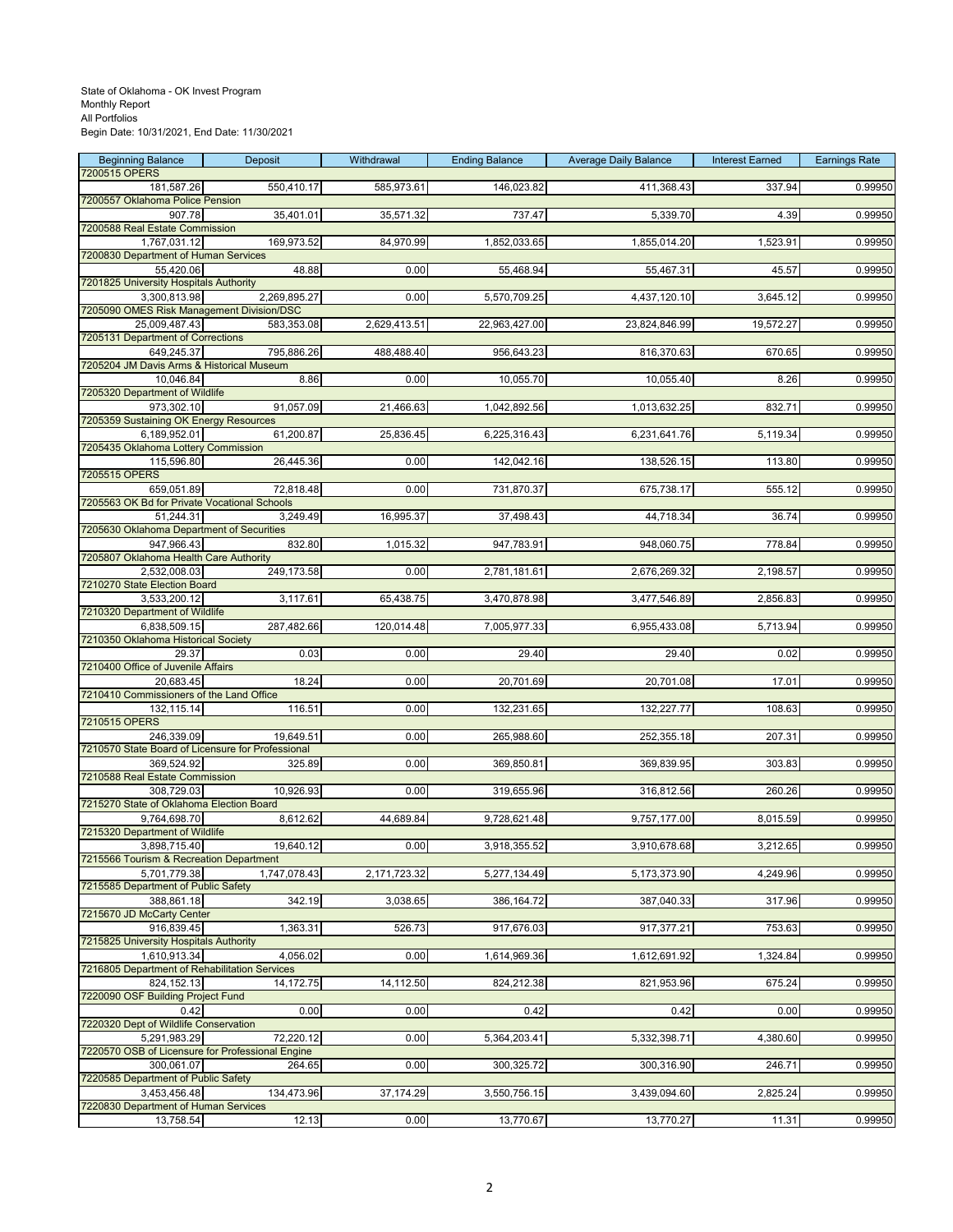| <b>Beginning Balance</b>                                      | Deposit      | Withdrawal   | <b>Ending Balance</b> | <b>Average Daily Balance</b> | <b>Interest Earned</b> | <b>Earnings Rate</b> |
|---------------------------------------------------------------|--------------|--------------|-----------------------|------------------------------|------------------------|----------------------|
| 7200515 OPERS<br>181,587.26                                   | 550,410.17   | 585,973.61   | 146,023.82            | 411,368.43                   | 337.94                 | 0.99950              |
| 7200557 Oklahoma Police Pension                               |              |              |                       |                              |                        |                      |
| 907.78                                                        | 35,401.01    | 35,571.32    | 737.47                | 5,339.70                     | 4.39                   | 0.99950              |
| 7200588 Real Estate Commission<br>1,767,031.12                | 169,973.52   | 84,970.99    | 1,852,033.65          | 1,855,014.20                 | 1,523.91               | 0.99950              |
| 7200830 Department of Human Services                          |              |              |                       |                              |                        |                      |
| 55,420.06                                                     | 48.88        | 0.00         | 55,468.94             | 55,467.31                    | 45.57                  | 0.99950              |
| 7201825 University Hospitals Authority<br>3,300,813.98        | 2,269,895.27 | 0.00         | 5,570,709.25          | 4,437,120.10                 | 3,645.12               | 0.99950              |
| 7205090 OMES Risk Management Division/DSC                     |              |              |                       |                              |                        |                      |
| 25,009,487.43                                                 | 583,353.08   | 2,629,413.51 | 22,963,427.00         | 23,824,846.99                | 19,572.27              | 0.99950              |
| 7205131 Department of Corrections<br>649,245.37               | 795,886.26   | 488,488.40   | 956,643.23            | 816,370.63                   | 670.65                 | 0.99950              |
| 7205204 JM Davis Arms & Historical Museum                     |              |              |                       |                              |                        |                      |
| 10,046.84                                                     | 8.86         | 0.00         | 10,055.70             | 10,055.40                    | 8.26                   | 0.99950              |
| 7205320 Department of Wildlife<br>973,302.10                  | 91,057.09    | 21,466.63    | 1,042,892.56          | 1,013,632.25                 | 832.71                 | 0.99950              |
| 7205359 Sustaining OK Energy Resources                        |              |              |                       |                              |                        |                      |
| 6,189,952.01                                                  | 61,200.87    | 25,836.45    | 6,225,316.43          | 6,231,641.76                 | 5,119.34               | 0.99950              |
| 7205435 Oklahoma Lottery Commission<br>115,596.80             | 26,445.36    | 0.00         | 142,042.16            | 138,526.15                   | 113.80                 | 0.99950              |
| 7205515 OPERS                                                 |              |              |                       |                              |                        |                      |
| 659,051.89                                                    | 72,818.48    | 0.00         | 731,870.37            | 675,738.17                   | 555.12                 | 0.99950              |
| 7205563 OK Bd for Private Vocational Schools<br>51,244.31     | 3,249.49     | 16,995.37    | 37,498.43             | 44,718.34                    | 36.74                  | 0.99950              |
| 7205630 Oklahoma Department of Securities                     |              |              |                       |                              |                        |                      |
| 947,966.43                                                    | 832.80       | 1,015.32     | 947,783.91            | 948,060.75                   | 778.84                 | 0.99950              |
| 7205807 Oklahoma Health Care Authority                        |              |              |                       |                              |                        |                      |
| 2,532,008.03<br>7210270 State Election Board                  | 249,173.58   | 0.00         | 2,781,181.61          | 2,676,269.32                 | 2,198.57               | 0.99950              |
| 3,533,200.12                                                  | 3,117.61     | 65,438.75    | 3,470,878.98          | 3,477,546.89                 | 2,856.83               | 0.99950              |
| 7210320 Department of Wildlife                                |              |              |                       |                              |                        |                      |
| 6,838,509.15<br>7210350 Oklahoma Historical Society           | 287,482.66   | 120,014.48   | 7,005,977.33          | 6,955,433.08                 | 5,713.94               | 0.99950              |
| 29.37                                                         | 0.03         | 0.00         | 29.40                 | 29.40                        | 0.02                   | 0.99950              |
| 7210400 Office of Juvenile Affairs<br>20,683.45               | 18.24        | 0.00         |                       |                              |                        |                      |
| 7210410 Commissioners of the Land Office                      |              |              | 20,701.69             | 20,701.08                    | 17.01                  | 0.99950              |
| 132,115.14                                                    | 116.51       | 0.00         | 132,231.65            | 132,227.77                   | 108.63                 | 0.99950              |
| 7210515 OPERS<br>246,339.09                                   | 19,649.51    | 0.00         | 265,988.60            | 252,355.18                   | 207.31                 | 0.99950              |
| 7210570 State Board of Licensure for Professional             |              |              |                       |                              |                        |                      |
| 369,524.92                                                    | 325.89       | 0.00         | 369,850.81            | 369,839.95                   | 303.83                 | 0.99950              |
| 7210588 Real Estate Commission                                |              |              |                       |                              |                        |                      |
| 308,729.03<br>7215270 State of Oklahoma Election Board        | 10,926.93    | 0.00         | 319,655.96            | 316,812.56                   | 260.26                 | 0.99950              |
| 9,764,698.70                                                  | 8,612.62     | 44,689.84    | 9,728,621.48          | 9,757,177.00                 | 8,015.59               | 0.99950              |
| 7215320 Department of Wildlife                                |              |              |                       |                              |                        |                      |
| 3,898,715.40<br>7215566 Tourism & Recreation Department       | 19,640.12    | 0.00         | 3,918,355.52          | 3,910,678.68                 | 3,212.65               | 0.99950              |
| 5,701,779.38                                                  | 1,747,078.43 | 2,171,723.32 | 5,277,134.49          | 5,173,373.90                 | 4,249.96               | 0.99950              |
| 7215585 Department of Public Safety                           |              |              |                       |                              |                        |                      |
| 388,861.18<br>7215670 JD McCarty Center                       | 342.19       | 3,038.65     | 386,164.72            | 387,040.33                   | 317.96                 | 0.99950              |
| 916.839.45                                                    | 1,363.31     | 526.73       | 917,676.03            | 917,377.21                   | 753.63                 | 0.99950              |
| 7215825 University Hospitals Authority                        |              |              |                       |                              |                        |                      |
| 1,610,913.34<br>7216805 Department of Rehabilitation Services | 4,056.02     | 0.00         | 1,614,969.36          | 1,612,691.92                 | 1,324.84               | 0.99950              |
| 824,152.13                                                    | 14,172.75    | 14,112.50    | 824,212.38            | 821,953.96                   | 675.24                 | 0.99950              |
| 7220090 OSF Building Project Fund                             |              |              |                       |                              |                        |                      |
| 0.42<br>7220320 Dept of Wildlife Conservation                 | 0.00         | 0.00         | 0.42                  | 0.42                         | 0.00                   | 0.99950              |
| 5,291,983.29                                                  | 72,220.12    | 0.00         | 5,364,203.41          | 5,332,398.71                 | 4,380.60               | 0.99950              |
| 7220570 OSB of Licensure for Professional Engine              |              |              |                       |                              |                        |                      |
| 300,061.07<br>7220585 Department of Public Safety             | 264.65       | 0.00         | 300,325.72            | 300,316.90                   | 246.71                 | 0.99950              |
| 3,453,456.48                                                  | 134,473.96   | 37, 174.29   | 3,550,756.15          | 3,439,094.60                 | 2,825.24               | 0.99950              |
| 7220830 Department of Human Services                          |              |              |                       |                              |                        |                      |
| 13,758.54                                                     | 12.13        | 0.00         | 13,770.67             | 13,770.27                    | 11.31                  | 0.99950              |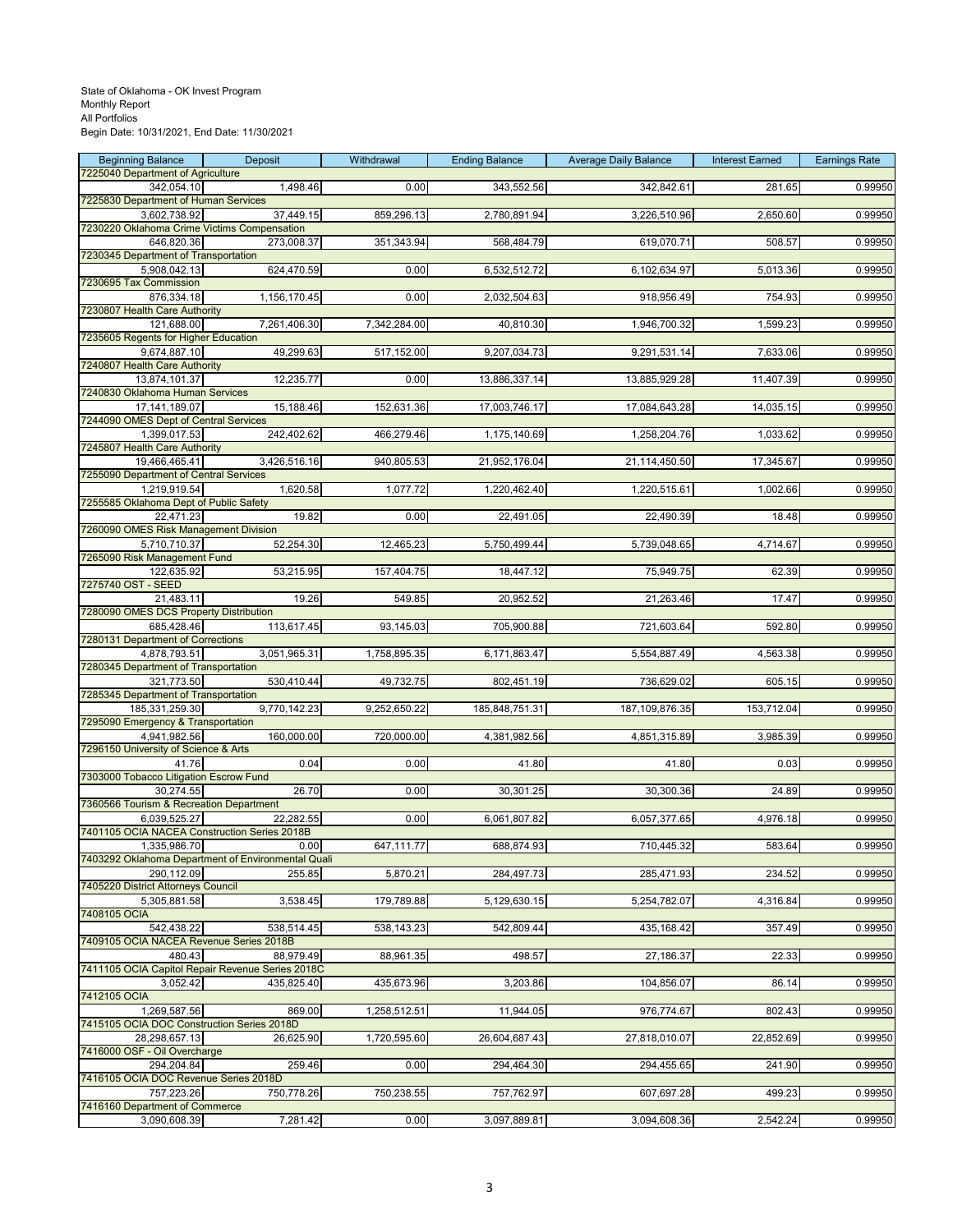| <b>Beginning Balance</b>                                   | Deposit                                                    | Withdrawal   | <b>Ending Balance</b> | <b>Average Daily Balance</b> | <b>Interest Earned</b> | <b>Earnings Rate</b> |
|------------------------------------------------------------|------------------------------------------------------------|--------------|-----------------------|------------------------------|------------------------|----------------------|
| 7225040 Department of Agriculture<br>342,054.10            | 1,498.46                                                   | 0.00         | 343,552.56            | 342,842.61                   | 281.65                 | 0.99950              |
| 7225830 Department of Human Services                       |                                                            |              |                       |                              |                        |                      |
| 3,602,738.92                                               | 37,449.15                                                  | 859,296.13   | 2,780,891.94          | 3,226,510.96                 | 2,650.60               | 0.99950              |
| 7230220 Oklahoma Crime Victims Compensation<br>646,820.36  | 273,008.37                                                 | 351,343.94   | 568,484.79            | 619,070.71                   | 508.57                 | 0.99950              |
| 7230345 Department of Transportation                       |                                                            |              |                       |                              |                        |                      |
| 5,908,042.13                                               | 624,470.59                                                 | 0.00         | 6,532,512.72          | 6,102,634.97                 | 5,013.36               | 0.99950              |
| 7230695 Tax Commission<br>876,334.18                       | 1,156,170.45                                               | 0.00         | 2,032,504.63          | 918,956.49                   | 754.93                 | 0.99950              |
| 7230807 Health Care Authority                              |                                                            |              |                       |                              |                        |                      |
| 121,688.00                                                 | 7,261,406.30                                               | 7,342,284.00 | 40,810.30             | 1,946,700.32                 | 1,599.23               | 0.99950              |
| 7235605 Regents for Higher Education<br>9,674,887.10       | 49,299.63                                                  | 517,152.00   | 9,207,034.73          | 9,291,531.14                 | 7,633.06               | 0.99950              |
| 7240807 Health Care Authority                              |                                                            |              |                       |                              |                        |                      |
| 13,874,101.37                                              | 12,235.77                                                  | 0.00         | 13,886,337.14         | 13,885,929.28                | 11,407.39              | 0.99950              |
| 7240830 Oklahoma Human Services                            |                                                            |              |                       |                              |                        |                      |
| 17,141,189.07<br>7244090 OMES Dept of Central Services     | 15,188.46                                                  | 152,631.36   | 17,003,746.17         | 17,084,643.28                | 14,035.15              | 0.99950              |
| 1,399,017.53                                               | 242,402.62                                                 | 466,279.46   | 1,175,140.69          | 1,258,204.76                 | 1,033.62               | 0.99950              |
| 7245807 Health Care Authority                              |                                                            |              |                       | 21,114,450.50                |                        |                      |
| 19,466,465.41<br>7255090 Department of Central Services    | 3,426,516.16                                               | 940,805.53   | 21,952,176.04         |                              | 17,345.67              | 0.99950              |
| 1,219,919.54                                               | 1,620.58                                                   | 1,077.72     | 1,220,462.40          | 1,220,515.61                 | 1,002.66               | 0.99950              |
| 7255585 Oklahoma Dept of Public Safety                     |                                                            |              |                       |                              |                        |                      |
| 22,471.23<br>7260090 OMES Risk Management Division         | 19.82                                                      | 0.00         | 22,491.05             | 22,490.39                    | 18.48                  | 0.99950              |
| 5,710,710.37                                               | 52,254.30                                                  | 12,465.23    | 5,750,499.44          | 5,739,048.65                 | 4,714.67               | 0.99950              |
| 7265090 Risk Management Fund                               |                                                            |              |                       |                              |                        |                      |
| 122,635.92<br>7275740 OST - SEED                           | 53,215.95                                                  | 157,404.75   | 18,447.12             | 75,949.75                    | 62.39                  | 0.99950              |
| 21,483.11                                                  | 19.26                                                      | 549.85       | 20,952.52             | 21,263.46                    | 17.47                  | 0.99950              |
| 7280090 OMES DCS Property Distribution                     |                                                            |              |                       |                              |                        |                      |
| 685,428.46<br>7280131 Department of Corrections            | 113,617.45                                                 | 93,145.03    | 705,900.88            | 721,603.64                   | 592.80                 | 0.99950              |
| 4,878,793.51                                               | 3,051,965.31                                               | 1,758,895.35 | 6,171,863.47          | 5,554,887.49                 | 4,563.38               | 0.99950              |
| 7280345 Department of Transportation                       |                                                            |              |                       |                              |                        |                      |
| 321,773.50<br>7285345 Department of Transportation         | 530,410.44                                                 | 49,732.75    | 802,451.19            | 736,629.02                   | 605.15                 | 0.99950              |
| 185,331,259.30                                             | 9,770,142.23                                               | 9,252,650.22 | 185,848,751.31        | 187, 109, 876.35             | 153,712.04             | 0.99950              |
| 7295090 Emergency & Transportation                         |                                                            |              |                       |                              |                        |                      |
| 4,941,982.56<br>7296150 University of Science & Arts       | 160,000.00                                                 | 720,000.00   | 4,381,982.56          | 4,851,315.89                 | 3,985.39               | 0.99950              |
| 41.76                                                      | 0.04                                                       | 0.00         | 41.80                 | 41.80                        | 0.03                   | 0.99950              |
| 7303000 Tobacco Litigation Escrow Fund                     |                                                            |              |                       |                              |                        |                      |
| 30,274.55<br>7360566 Tourism & Recreation Department       | 26.70                                                      | 0.00         | 30,301.25             | 30,300.36                    | 24.89                  | 0.99950              |
| 6,039,525.27                                               | 22,282.55                                                  | 0.00         | 6,061,807.82          | 6,057,377.65                 | 4,976.18               | 0.99950              |
| 7401105 OCIA NACEA Construction Series 2018B               |                                                            |              |                       |                              |                        |                      |
| 1,335,986.70                                               | 0.00<br>7403292 Oklahoma Department of Environmental Quali | 647,111.77   | 688,874.93            | 710,445.32                   | 583.64                 | 0.99950              |
| 290.112.09                                                 | 255.85                                                     | 5,870.21     | 284,497.73            | 285,471.93                   | 234.52                 | 0.99950              |
| 7405220 District Attorneys Council                         |                                                            |              |                       |                              |                        |                      |
| 5,305,881.58<br>7408105 OCIA                               | 3,538.45                                                   | 179,789.88   | 5,129,630.15          | 5,254,782.07                 | 4,316.84               | 0.99950              |
| 542,438.22                                                 | 538,514.45                                                 | 538,143.23   | 542,809.44            | 435,168.42                   | 357.49                 | 0.99950              |
| 7409105 OCIA NACEA Revenue Series 2018B                    |                                                            |              |                       |                              |                        |                      |
| 480.43<br>7411105 OCIA Capitol Repair Revenue Series 2018C | 88,979.49                                                  | 88,961.35    | 498.57                | 27,186.37                    | 22.33                  | 0.99950              |
| 3,052.42                                                   | 435,825.40                                                 | 435,673.96   | 3,203.86              | 104,856.07                   | 86.14                  | 0.99950              |
| 7412105 OCIA                                               |                                                            |              |                       |                              |                        |                      |
| 1.269.587.56<br>7415105 OCIA DOC Construction Series 2018D | 869.00                                                     | 1,258,512.51 | 11,944.05             | 976,774.67                   | 802.43                 | 0.99950              |
| 28,298,657.13                                              | 26,625.90                                                  | 1,720,595.60 | 26,604,687.43         | 27,818,010.07                | 22,852.69              | 0.99950              |
| 7416000 OSF - Oil Overcharge                               |                                                            |              |                       |                              |                        |                      |
| 294,204.84<br>7416105 OCIA DOC Revenue Series 2018D        | 259.46                                                     | 0.00         | 294,464.30            | 294,455.65                   | 241.90                 | 0.99950              |
| 757,223.26                                                 | 750,778.26                                                 | 750,238.55   | 757,762.97            | 607,697.28                   | 499.23                 | 0.99950              |
| 7416160 Department of Commerce                             |                                                            |              |                       |                              |                        |                      |
| 3,090,608.39                                               | 7,281.42                                                   | 0.00         | 3,097,889.81          | 3,094,608.36                 | 2,542.24               | 0.99950              |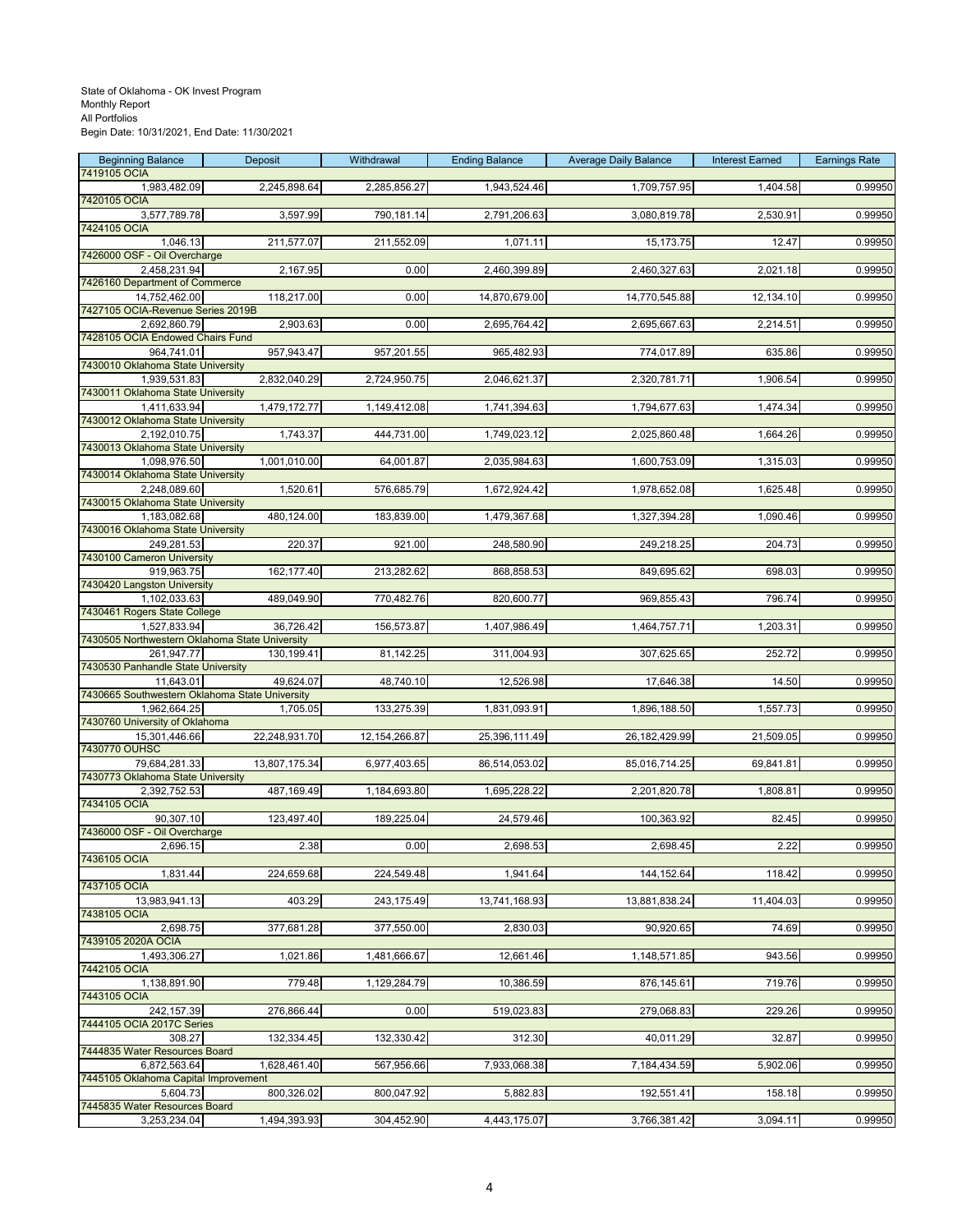| <b>Beginning Balance</b>                                       | <b>Deposit</b> | Withdrawal      | <b>Ending Balance</b> | <b>Average Daily Balance</b> | <b>Interest Earned</b> | <b>Earnings Rate</b> |
|----------------------------------------------------------------|----------------|-----------------|-----------------------|------------------------------|------------------------|----------------------|
| 7419105 OCIA<br>1,983,482.09                                   | 2,245,898.64   | 2,285,856.27    | 1,943,524.46          | 1,709,757.95                 | 1,404.58               | 0.99950              |
| 7420105 OCIA                                                   |                |                 |                       |                              |                        |                      |
| 3,577,789.78<br>7424105 OCIA                                   | 3,597.99       | 790,181.14      | 2,791,206.63          | 3,080,819.78                 | 2,530.91               | 0.99950              |
| 1,046.13                                                       | 211,577.07     | 211,552.09      | 1,071.11              | 15,173.75                    | 12.47                  | 0.99950              |
| 7426000 OSF - Oil Overcharge                                   |                |                 |                       |                              |                        |                      |
| 2,458,231.94<br>7426160 Department of Commerce                 | 2,167.95       | 0.00            | 2,460,399.89          | 2,460,327.63                 | 2,021.18               | 0.99950              |
| 14,752,462.00                                                  | 118,217.00     | 0.00            | 14,870,679.00         | 14,770,545.88                | 12,134.10              | 0.99950              |
| 7427105 OCIA-Revenue Series 2019B<br>2.692.860.79              | 2,903.63       | 0.00            | 2,695,764.42          | 2,695,667.63                 | 2,214.51               | 0.99950              |
| 7428105 OCIA Endowed Chairs Fund                               |                |                 |                       |                              |                        |                      |
| 964,741.01                                                     | 957,943.47     | 957,201.55      | 965,482.93            | 774,017.89                   | 635.86                 | 0.99950              |
| 7430010 Oklahoma State University<br>1,939,531.83              | 2,832,040.29   | 2,724,950.75    | 2,046,621.37          | 2,320,781.71                 | 1,906.54               | 0.99950              |
| 7430011 Oklahoma State University                              |                |                 |                       |                              |                        |                      |
| 1,411,633.94<br>7430012 Oklahoma State University              | 1,479,172.77   | 1,149,412.08    | 1,741,394.63          | 1,794,677.63                 | 1,474.34               | 0.99950              |
| 2,192,010.75                                                   | 1,743.37       | 444,731.00      | 1,749,023.12          | 2,025,860.48                 | 1,664.26               | 0.99950              |
| 7430013 Oklahoma State University                              |                |                 |                       |                              |                        |                      |
| 1,098,976.50<br>7430014 Oklahoma State University              | 1,001,010.00   | 64,001.87       | 2,035,984.63          | 1,600,753.09                 | 1,315.03               | 0.99950              |
| 2,248,089.60                                                   | 1,520.61       | 576,685.79      | 1,672,924.42          | 1,978,652.08                 | 1,625.48               | 0.99950              |
| 7430015 Oklahoma State University<br>1,183,082.68              | 480,124.00     | 183,839.00      | 1,479,367.68          | 1,327,394.28                 | 1,090.46               | 0.99950              |
| 7430016 Oklahoma State University                              |                |                 |                       |                              |                        |                      |
| 249,281.53                                                     | 220.37         | 921.00          | 248,580.90            | 249,218.25                   | 204.73                 | 0.99950              |
| 7430100 Cameron University<br>919,963.75                       | 162, 177.40    | 213,282.62      | 868,858.53            | 849,695.62                   | 698.03                 | 0.99950              |
| 7430420 Langston University                                    |                |                 |                       |                              |                        |                      |
| 1,102,033.63<br>7430461 Rogers State College                   | 489,049.90     | 770,482.76      | 820,600.77            | 969,855.43                   | 796.74                 | 0.99950              |
| 1,527,833.94                                                   | 36,726.42      | 156,573.87      | 1,407,986.49          | 1,464,757.71                 | 1,203.31               | 0.99950              |
| 7430505 Northwestern Oklahoma State University<br>261,947.77   | 130,199.41     | 81,142.25       | 311,004.93            | 307,625.65                   | 252.72                 | 0.99950              |
| 7430530 Panhandle State University                             |                |                 |                       |                              |                        |                      |
| 11,643.01                                                      | 49,624.07      | 48,740.10       | 12,526.98             | 17,646.38                    | 14.50                  | 0.99950              |
| 7430665 Southwestern Oklahoma State University<br>1,962,664.25 | 1,705.05       | 133,275.39      | 1,831,093.91          | 1,896,188.50                 | 1,557.73               | 0.99950              |
| 7430760 University of Oklahoma                                 |                |                 |                       |                              |                        |                      |
| 15,301,446.66<br>7430770 OUHSC                                 | 22,248,931.70  | 12, 154, 266.87 | 25,396,111.49         | 26, 182, 429.99              | 21,509.05              | 0.99950              |
| 79,684,281.33                                                  | 13,807,175.34  | 6,977,403.65    | 86,514,053.02         | 85,016,714.25                | 69,841.81              | 0.99950              |
| 7430773 Oklahoma State University<br>2,392,752.53              | 487,169.49     | 1,184,693.80    | 1,695,228.22          | 2,201,820.78                 | 1,808.81               | 0.99950              |
| 7434105 OCIA                                                   |                |                 |                       |                              |                        |                      |
| 90,307.10<br>7436000 OSF - Oil Overcharge                      | 123,497.40     | 189,225.04      | 24,579.46             | 100,363.92                   | 82.45                  | 0.99950              |
| 2,696.15                                                       | 2.38           | 0.00            | 2,698.53              | 2,698.45                     | 2.22                   | 0.99950              |
| 7436105 OCIA                                                   |                |                 |                       |                              |                        |                      |
| 1,831.44<br>7437105 OCIA                                       | 224,659.68     | 224,549.48      | 1,941.64              | 144,152.64                   | 118.42                 | 0.99950              |
| 13,983,941.13                                                  | 403.29         | 243,175.49      | 13,741,168.93         | 13,881,838.24                | 11,404.03              | 0.99950              |
| 7438105 OCIA<br>2,698.75                                       | 377,681.28     | 377,550.00      | 2,830.03              | 90,920.65                    | 74.69                  | 0.99950              |
| 7439105 2020A OCIA                                             |                |                 |                       |                              |                        |                      |
| 1,493,306.27                                                   | 1,021.86       | 1,481,666.67    | 12,661.46             | 1,148,571.85                 | 943.56                 | 0.99950              |
| 7442105 OCIA<br>1,138,891.90                                   | 779.48         | 1,129,284.79    | 10,386.59             | 876,145.61                   | 719.76                 | 0.99950              |
| 7443105 OCIA                                                   |                |                 |                       |                              |                        |                      |
| 242,157.39<br>7444105 OCIA 2017C Series                        | 276,866.44     | 0.00            | 519,023.83            | 279,068.83                   | 229.26                 | 0.99950              |
| 308.27                                                         | 132,334.45     | 132,330.42      | 312.30                | 40,011.29                    | 32.87                  | 0.99950              |
| 7444835 Water Resources Board                                  |                |                 |                       |                              |                        |                      |
| 6,872,563.64<br>7445105 Oklahoma Capital Improvement           | 1,628,461.40   | 567,956.66      | 7,933,068.38          | 7,184,434.59                 | 5,902.06               | 0.99950              |
| 5,604.73                                                       | 800,326.02     | 800,047.92      | 5,882.83              | 192,551.41                   | 158.18                 | 0.99950              |
| 7445835 Water Resources Board<br>3,253,234.04                  | 1,494,393.93   | 304,452.90      | 4,443,175.07          | 3,766,381.42                 | 3,094.11               | 0.99950              |
|                                                                |                |                 |                       |                              |                        |                      |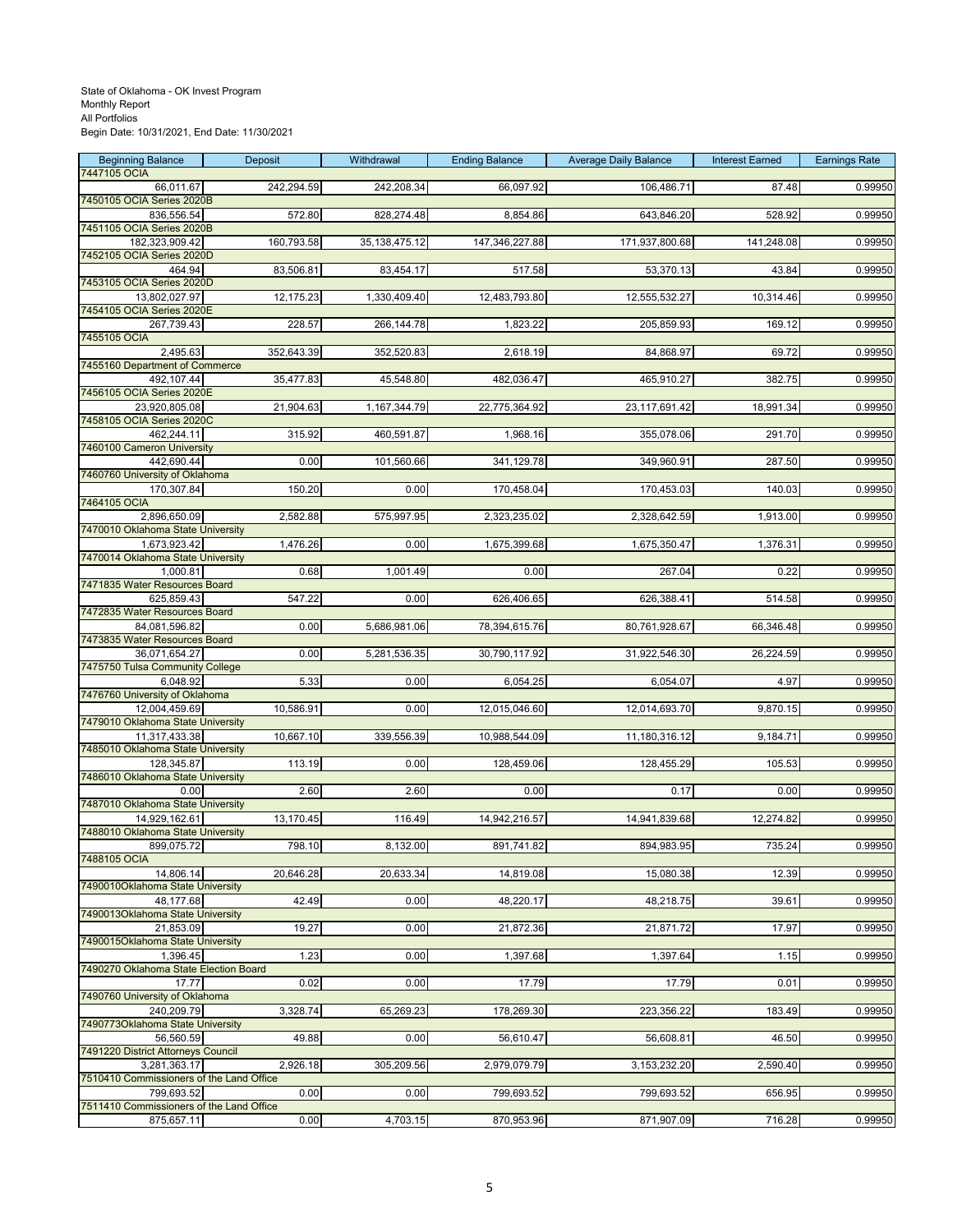| <b>Beginning Balance</b><br>7447105 OCIA                 | Deposit    | Withdrawal       | <b>Ending Balance</b> | <b>Average Daily Balance</b> | <b>Interest Earned</b> | <b>Earnings Rate</b> |
|----------------------------------------------------------|------------|------------------|-----------------------|------------------------------|------------------------|----------------------|
| 66,011.67                                                | 242,294.59 | 242,208.34       | 66,097.92             | 106,486.71                   | 87.48                  | 0.99950              |
| 7450105 OCIA Series 2020B<br>836,556.54                  | 572.80     | 828,274.48       | 8,854.86              | 643,846.20                   | 528.92                 | 0.99950              |
| 7451105 OCIA Series 2020B                                |            |                  |                       |                              |                        |                      |
| 182,323,909.42<br>7452105 OCIA Series 2020D              | 160,793.58 | 35, 138, 475. 12 | 147,346,227.88        | 171,937,800.68               | 141,248.08             | 0.99950              |
| 464.94                                                   | 83,506.81  | 83,454.17        | 517.58                | 53,370.13                    | 43.84                  | 0.99950              |
| 7453105 OCIA Series 2020D                                |            |                  |                       |                              |                        |                      |
| 13,802,027.97<br>7454105 OCIA Series 2020E               | 12,175.23  | 1,330,409.40     | 12,483,793.80         | 12,555,532.27                | 10,314.46              | 0.99950              |
| 267,739.43<br>7455105 OCIA                               | 228.57     | 266,144.78       | 1,823.22              | 205,859.93                   | 169.12                 | 0.99950              |
| 2,495.63                                                 | 352,643.39 | 352,520.83       | 2,618.19              | 84,868.97                    | 69.72                  | 0.99950              |
| 7455160 Department of Commerce                           | 35,477.83  |                  |                       |                              |                        |                      |
| 492,107.44<br>7456105 OCIA Series 2020E                  |            | 45,548.80        | 482,036.47            | 465,910.27                   | 382.75                 | 0.99950              |
| 23,920,805.08<br>7458105 OCIA Series 2020C               | 21,904.63  | 1,167,344.79     | 22,775,364.92         | 23, 117, 691.42              | 18,991.34              | 0.99950              |
| 462,244.11                                               | 315.92     | 460,591.87       | 1,968.16              | 355,078.06                   | 291.70                 | 0.99950              |
| 7460100 Cameron University                               |            |                  |                       |                              |                        |                      |
| 442,690.44<br>7460760 University of Oklahoma             | 0.00       | 101,560.66       | 341,129.78            | 349,960.91                   | 287.50                 | 0.99950              |
| 170,307.84<br>7464105 OCIA                               | 150.20     | 0.00             | 170,458.04            | 170,453.03                   | 140.03                 | 0.99950              |
| 2,896,650.09                                             | 2,582.88   | 575,997.95       | 2,323,235.02          | 2,328,642.59                 | 1,913.00               | 0.99950              |
| 7470010 Oklahoma State University                        |            | 0.00             |                       |                              |                        |                      |
| 1,673,923.42<br>7470014 Oklahoma State University        | 1,476.26   |                  | 1,675,399.68          | 1,675,350.47                 | 1,376.31               | 0.99950              |
| 1,000.81<br>7471835 Water Resources Board                | 0.68       | 1,001.49         | 0.00                  | 267.04                       | 0.22                   | 0.99950              |
| 625,859.43                                               | 547.22     | 0.00             | 626,406.65            | 626,388.41                   | 514.58                 | 0.99950              |
| 7472835 Water Resources Board                            |            |                  |                       |                              |                        |                      |
| 84,081,596.82<br>7473835 Water Resources Board           | 0.00       | 5,686,981.06     | 78,394,615.76         | 80,761,928.67                | 66,346.48              | 0.99950              |
| 36,071,654.27<br>7475750 Tulsa Community College         | 0.00       | 5,281,536.35     | 30,790,117.92         | 31,922,546.30                | 26,224.59              | 0.99950              |
| 6,048.92                                                 | 5.33       | 0.00             | 6,054.25              | 6,054.07                     | 4.97                   | 0.99950              |
| 7476760 University of Oklahoma<br>12,004,459.69          | 10,586.91  | 0.00             | 12,015,046.60         | 12,014,693.70                | 9,870.15               | 0.99950              |
| 7479010 Oklahoma State University                        |            |                  |                       |                              |                        |                      |
| 11,317,433.38<br>7485010 Oklahoma State University       | 10,667.10  | 339,556.39       | 10,988,544.09         | 11,180,316.12                | 9,184.71               | 0.99950              |
| 128,345.87                                               | 113.19     | 0.00             | 128,459.06            | 128,455.29                   | 105.53                 | 0.99950              |
| 7486010 Oklahoma State University<br>0.00                | 2.60       | 2.60             | 0.00                  | 0.17                         | 0.00                   | 0.99950              |
| 7487010 Oklahoma State University                        |            |                  |                       |                              |                        |                      |
| 14,929,162.61<br>7488010 Oklahoma State University       | 13,170.45  | 116.49           | 14,942,216.57         | 14,941,839.68                | 12,274.82              | 0.99950              |
| 899,075.72                                               | 798.10     | 8,132.00         | 891,741.82            | 894,983.95                   | 735.24                 | 0.99950              |
| 7488105 OCIA<br>14,806.14                                | 20,646.28  | 20,633.34        | 14,819.08             | 15,080.38                    | 12.39                  | 0.99950              |
| 7490010Oklahoma State University                         |            |                  |                       |                              |                        |                      |
| 48,177.68<br>7490013Oklahoma State University            | 42.49      | 0.00             | 48,220.17             | 48,218.75                    | 39.61                  | 0.99950              |
| 21,853.09                                                | 19.27      | 0.00             | 21,872.36             | 21,871.72                    | 17.97                  | 0.99950              |
| 7490015Oklahoma State University<br>1,396.45             | 1.23       | 0.00             | 1,397.68              | 1,397.64                     | 1.15                   | 0.99950              |
| 7490270 Oklahoma State Election Board                    |            |                  |                       |                              |                        |                      |
| 17.77<br>7490760 University of Oklahoma                  | 0.02       | 0.00             | 17.79                 | 17.79                        | 0.01                   | 0.99950              |
| 240,209.79                                               | 3,328.74   | 65,269.23        | 178,269.30            | 223,356.22                   | 183.49                 | 0.99950              |
| 7490773Oklahoma State University<br>56,560.59            | 49.88      | 0.00             | 56,610.47             | 56,608.81                    | 46.50                  | 0.99950              |
| 7491220 District Attorneys Council                       |            |                  |                       |                              |                        |                      |
| 3,281,363.17<br>7510410 Commissioners of the Land Office | 2,926.18   | 305,209.56       | 2,979,079.79          | 3,153,232.20                 | 2,590.40               | 0.99950              |
| 799,693.52                                               | 0.00       | 0.00             | 799,693.52            | 799,693.52                   | 656.95                 | 0.99950              |
| 7511410 Commissioners of the Land Office<br>875,657.11   | 0.00       | 4,703.15         | 870,953.96            | 871,907.09                   | 716.28                 | 0.99950              |
|                                                          |            |                  |                       |                              |                        |                      |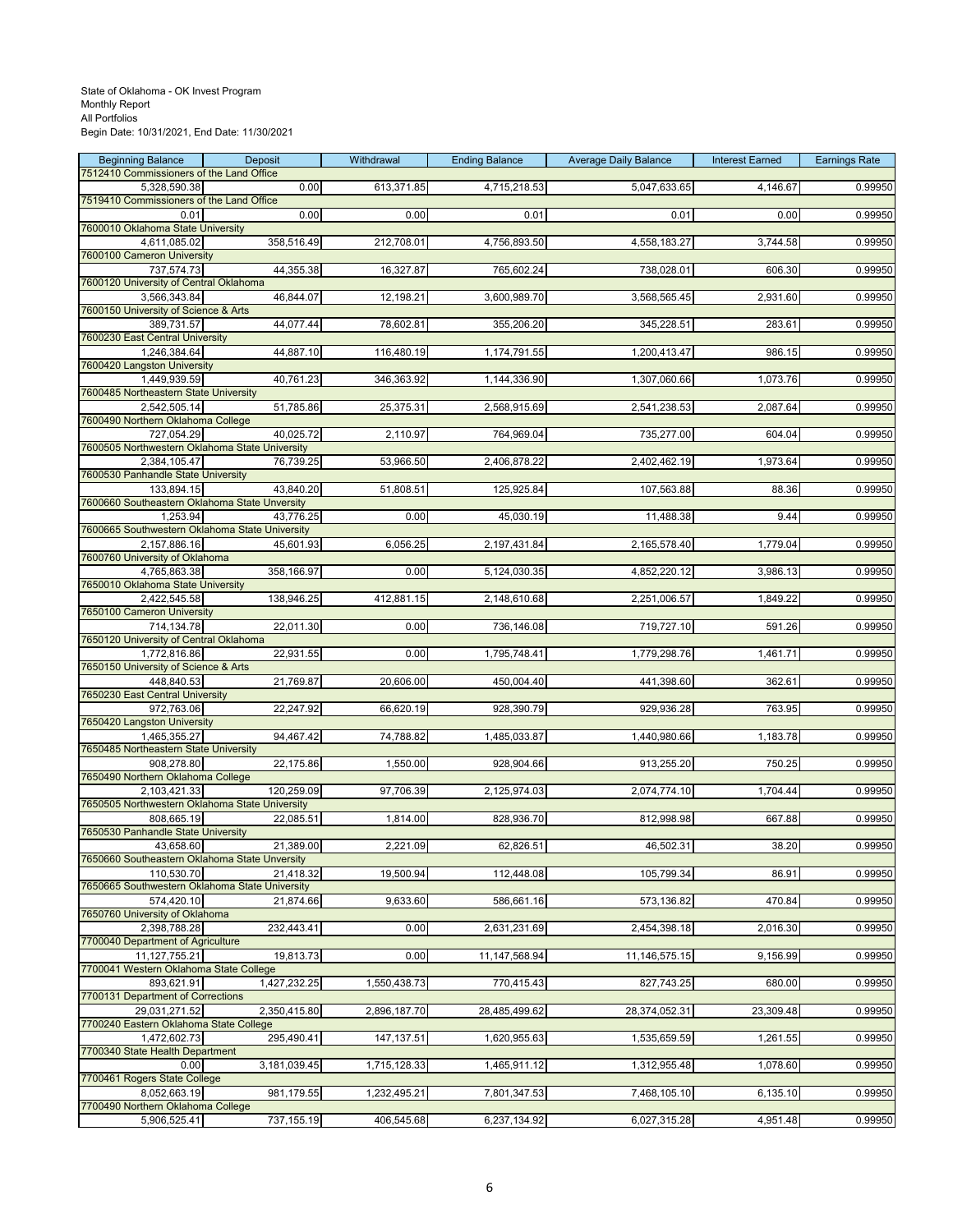| <b>Beginning Balance</b>                                       | Deposit      | Withdrawal   | <b>Ending Balance</b> | <b>Average Daily Balance</b> | <b>Interest Earned</b> | <b>Earnings Rate</b> |
|----------------------------------------------------------------|--------------|--------------|-----------------------|------------------------------|------------------------|----------------------|
| 7512410 Commissioners of the Land Office<br>5,328,590.38       | 0.00         | 613,371.85   | 4,715,218.53          | 5,047,633.65                 | 4,146.67               | 0.99950              |
| 7519410 Commissioners of the Land Office                       |              |              |                       |                              |                        |                      |
| 0.01                                                           | 0.00         | 0.00         | 0.01                  | 0.01                         | 0.00                   | 0.99950              |
| 7600010 Oklahoma State University                              |              |              |                       |                              |                        |                      |
| 4,611,085.02<br>7600100 Cameron University                     | 358,516.49   | 212,708.01   | 4,756,893.50          | 4,558,183.27                 | 3,744.58               | 0.99950              |
| 737,574.73                                                     | 44,355.38    | 16,327.87    | 765,602.24            | 738,028.01                   | 606.30                 | 0.99950              |
| 7600120 University of Central Oklahoma                         |              |              |                       |                              |                        |                      |
| 3,566,343.84<br>7600150 University of Science & Arts           | 46,844.07    | 12,198.21    | 3,600,989.70          | 3,568,565.45                 | 2,931.60               | 0.99950              |
| 389,731.57                                                     | 44,077.44    | 78,602.81    | 355,206.20            | 345,228.51                   | 283.61                 | 0.99950              |
| 7600230 East Central University                                |              |              |                       |                              |                        |                      |
| 1,246,384.64<br>7600420 Langston University                    | 44,887.10    | 116,480.19   | 1,174,791.55          | 1,200,413.47                 | 986.15                 | 0.99950              |
| 1,449,939.59                                                   | 40,761.23    | 346,363.92   | 1,144,336.90          | 1,307,060.66                 | 1,073.76               | 0.99950              |
| 7600485 Northeastern State University                          |              |              |                       |                              |                        |                      |
| 2,542,505.14                                                   | 51,785.86    | 25,375.31    | 2,568,915.69          | 2,541,238.53                 | 2,087.64               | 0.99950              |
| 7600490 Northern Oklahoma College<br>727,054.29                | 40,025.72    | 2,110.97     | 764,969.04            | 735,277.00                   | 604.04                 | 0.99950              |
| 7600505 Northwestern Oklahoma State University                 |              |              |                       |                              |                        |                      |
| 2,384,105.47                                                   | 76,739.25    | 53,966.50    | 2,406,878.22          | 2,402,462.19                 | 1,973.64               | 0.99950              |
| 7600530 Panhandle State University<br>133,894.15               | 43,840.20    | 51,808.51    | 125,925.84            | 107,563.88                   | 88.36                  | 0.99950              |
| 7600660 Southeastern Oklahoma State Unversity                  |              |              |                       |                              |                        |                      |
| 1,253.94                                                       | 43,776.25    | 0.00         | 45,030.19             | 11,488.38                    | 9.44                   | 0.99950              |
| 7600665 Southwestern Oklahoma State University<br>2,157,886.16 | 45,601.93    | 6,056.25     | 2,197,431.84          | 2,165,578.40                 | 1,779.04               | 0.99950              |
| 7600760 University of Oklahoma                                 |              |              |                       |                              |                        |                      |
| 4,765,863.38                                                   | 358,166.97   | 0.00         | 5,124,030.35          | 4,852,220.12                 | 3,986.13               | 0.99950              |
| 7650010 Oklahoma State University                              |              |              |                       | 2,251,006.57                 |                        |                      |
| 2,422,545.58<br>7650100 Cameron University                     | 138,946.25   | 412,881.15   | 2,148,610.68          |                              | 1,849.22               | 0.99950              |
| 714,134.78                                                     | 22,011.30    | 0.00         | 736,146.08            | 719,727.10                   | 591.26                 | 0.99950              |
| 7650120 University of Central Oklahoma                         |              |              |                       |                              |                        |                      |
| 1,772,816.86<br>7650150 University of Science & Arts           | 22,931.55    | 0.00         | 1,795,748.41          | 1,779,298.76                 | 1,461.71               | 0.99950              |
| 448,840.53                                                     | 21,769.87    | 20,606.00    | 450,004.40            | 441,398.60                   | 362.61                 | 0.99950              |
| 7650230 East Central University                                |              |              |                       |                              |                        |                      |
| 972,763.06<br>7650420 Langston University                      | 22,247.92    | 66,620.19    | 928,390.79            | 929,936.28                   | 763.95                 | 0.99950              |
| 1,465,355.27                                                   | 94,467.42    | 74,788.82    | 1,485,033.87          | 1,440,980.66                 | 1,183.78               | 0.99950              |
| 7650485 Northeastern State University                          |              |              |                       |                              |                        |                      |
| 908,278.80<br>7650490 Northern Oklahoma College                | 22,175.86    | 1,550.00     | 928,904.66            | 913,255.20                   | 750.25                 | 0.99950              |
| 2.103.421.33                                                   | 120,259.09   | 97,706.39    | 2,125,974.03          | 2,074,774.10                 | 1,704.44               | 0.99950              |
| 7650505 Northwestern Oklahoma State University                 |              |              |                       |                              |                        |                      |
| 808,665.19                                                     | 22,085.51    | 1,814.00     | 828,936.70            | 812,998.98                   | 667.88                 | 0.99950              |
| 7650530 Panhandle State University<br>43,658.60                | 21,389.00    | 2,221.09     | 62,826.51             | 46,502.31                    | 38.20                  | 0.99950              |
| 7650660 Southeastern Oklahoma State Unversity                  |              |              |                       |                              |                        |                      |
| 110,530.70                                                     | 21,418.32    | 19,500.94    | 112,448.08            | 105,799.34                   | 86.91                  | 0.99950              |
| 7650665 Southwestern Oklahoma State University<br>574,420.10   | 21,874.66    | 9,633.60     | 586,661.16            | 573,136.82                   | 470.84                 | 0.99950              |
| 7650760 University of Oklahoma                                 |              |              |                       |                              |                        |                      |
| 2,398,788.28                                                   | 232,443.41   | 0.00         | 2,631,231.69          | 2,454,398.18                 | 2,016.30               | 0.99950              |
| 7700040 Department of Agriculture                              |              |              |                       |                              |                        |                      |
| 11,127,755.21<br>7700041 Western Oklahoma State College        | 19,813.73    | 0.00         | 11,147,568.94         | 11,146,575.15                | 9,156.99               | 0.99950              |
| 893,621.91                                                     | 1,427,232.25 | 1,550,438.73 | 770,415.43            | 827,743.25                   | 680.00                 | 0.99950              |
| 7700131 Department of Corrections                              |              |              |                       |                              |                        |                      |
| 29.031.271.52<br>7700240 Eastern Oklahoma State College        | 2,350,415.80 | 2,896,187.70 | 28,485,499.62         | 28,374,052.31                | 23,309.48              | 0.99950              |
| 1,472,602.73                                                   | 295,490.41   | 147, 137.51  | 1,620,955.63          | 1,535,659.59                 | 1,261.55               | 0.99950              |
| 7700340 State Health Department                                |              |              |                       |                              |                        |                      |
| 0.00<br>7700461 Rogers State College                           | 3,181,039.45 | 1,715,128.33 | 1,465,911.12          | 1,312,955.48                 | 1,078.60               | 0.99950              |
| 8,052,663.19                                                   | 981,179.55   | 1,232,495.21 | 7,801,347.53          | 7,468,105.10                 | 6,135.10               | 0.99950              |
| 7700490 Northern Oklahoma College                              |              |              |                       |                              |                        |                      |
| 5,906,525.41                                                   | 737, 155.19  | 406,545.68   | 6,237,134.92          | 6,027,315.28                 | 4,951.48               | 0.99950              |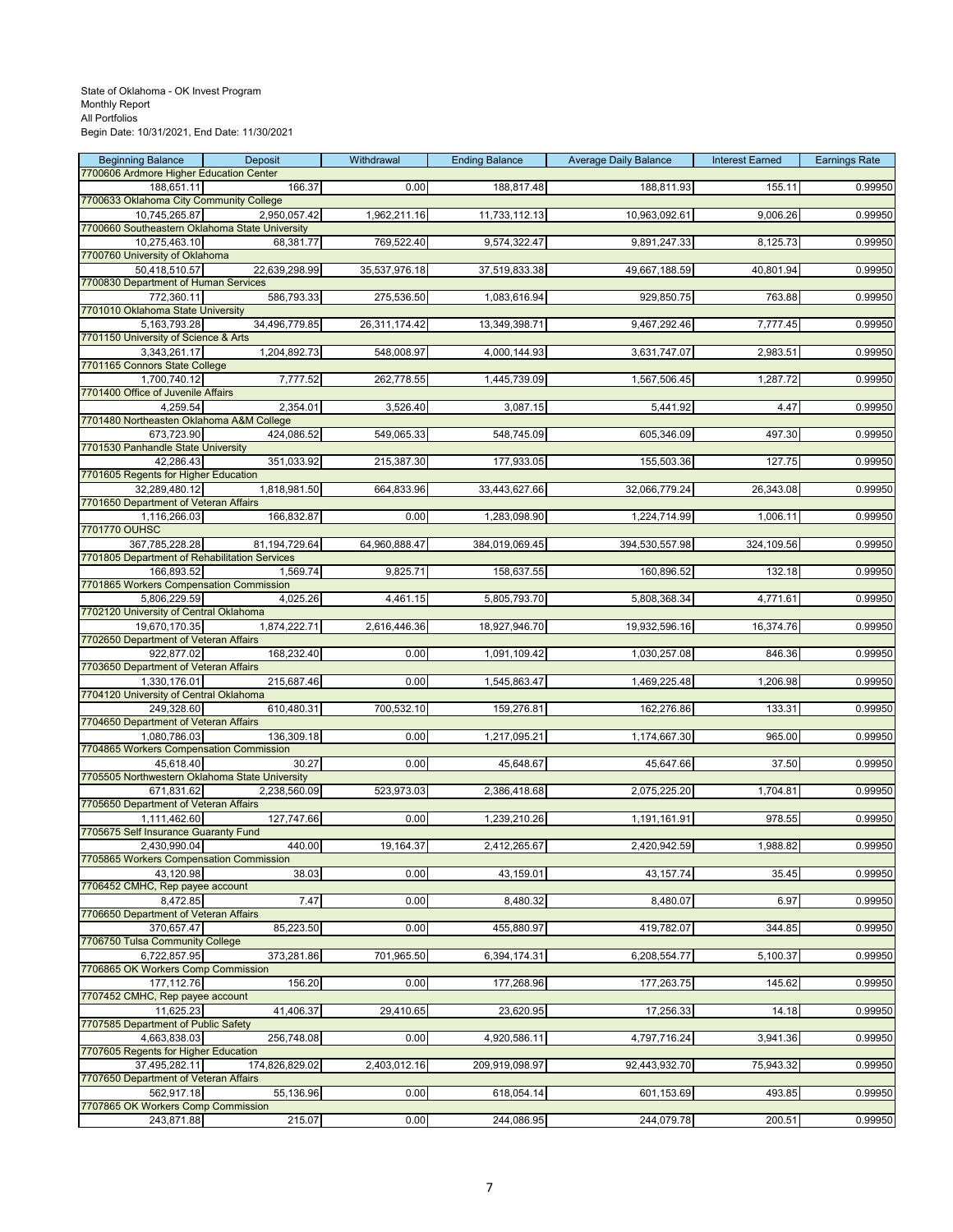| <b>Beginning Balance</b><br>7700606 Ardmore Higher Education Center | Deposit        | Withdrawal    | <b>Ending Balance</b> | <b>Average Daily Balance</b> | <b>Interest Earned</b> | <b>Earnings Rate</b> |
|---------------------------------------------------------------------|----------------|---------------|-----------------------|------------------------------|------------------------|----------------------|
| 188,651.11                                                          | 166.37         | 0.00          | 188,817.48            | 188,811.93                   | 155.11                 | 0.99950              |
| 7700633 Oklahoma City Community College                             |                |               |                       |                              |                        |                      |
| 10,745,265.87                                                       | 2,950,057.42   | 1,962,211.16  | 11,733,112.13         | 10,963,092.61                | 9,006.26               | 0.99950              |
| 7700660 Southeastern Oklahoma State University                      |                |               |                       |                              |                        |                      |
| 10,275,463.10<br>7700760 University of Oklahoma                     | 68,381.77      | 769,522.40    | 9,574,322.47          | 9,891,247.33                 | 8,125.73               | 0.99950              |
| 50,418,510.57                                                       | 22,639,298.99  | 35,537,976.18 | 37,519,833.38         | 49,667,188.59                | 40,801.94              | 0.99950              |
| 7700830 Department of Human Services                                |                |               |                       |                              |                        |                      |
| 772,360.11                                                          | 586,793.33     | 275,536.50    | 1,083,616.94          | 929,850.75                   | 763.88                 | 0.99950              |
| 7701010 Oklahoma State University                                   |                |               |                       |                              |                        |                      |
| 5,163,793.28                                                        | 34,496,779.85  | 26,311,174.42 | 13,349,398.71         | 9,467,292.46                 | 7,777.45               | 0.99950              |
| 7701150 University of Science & Arts                                |                |               |                       |                              |                        |                      |
| 3,343,261.17<br>7701165 Connors State College                       | 1,204,892.73   | 548,008.97    | 4,000,144.93          | 3,631,747.07                 | 2,983.51               | 0.99950              |
| 1,700,740.12                                                        | 7,777.52       | 262,778.55    | 1,445,739.09          | 1,567,506.45                 | 1,287.72               | 0.99950              |
| 7701400 Office of Juvenile Affairs                                  |                |               |                       |                              |                        |                      |
| 4,259.54                                                            | 2,354.01       | 3,526.40      | 3,087.15              | 5,441.92                     | 4.47                   | 0.99950              |
| 7701480 Northeasten Oklahoma A&M College                            |                |               |                       |                              |                        |                      |
| 673,723.90                                                          | 424,086.52     | 549,065.33    | 548,745.09            | 605,346.09                   | 497.30                 | 0.99950              |
| 7701530 Panhandle State University                                  |                |               |                       |                              |                        |                      |
| 42,286.43<br>7701605 Regents for Higher Education                   | 351,033.92     | 215,387.30    | 177,933.05            | 155,503.36                   | 127.75                 | 0.99950              |
| 32,289,480.12                                                       | 1,818,981.50   | 664,833.96    | 33,443,627.66         | 32,066,779.24                | 26,343.08              | 0.99950              |
| 7701650 Department of Veteran Affairs                               |                |               |                       |                              |                        |                      |
| 1,116,266.03                                                        | 166,832.87     | 0.00          | 1,283,098.90          | 1,224,714.99                 | 1,006.11               | 0.99950              |
| 7701770 OUHSC                                                       |                |               |                       |                              |                        |                      |
| 367,785,228.28                                                      | 81,194,729.64  | 64,960,888.47 | 384,019,069.45        | 394,530,557.98               | 324,109.56             | 0.99950              |
| 7701805 Department of Rehabilitation Services<br>166,893.52         | 1,569.74       | 9,825.71      | 158,637.55            |                              | 132.18                 | 0.99950              |
| 7701865 Workers Compensation Commission                             |                |               |                       | 160,896.52                   |                        |                      |
| 5,806,229.59                                                        | 4,025.26       | 4,461.15      | 5,805,793.70          | 5,808,368.34                 | 4,771.61               | 0.99950              |
| 7702120 University of Central Oklahoma                              |                |               |                       |                              |                        |                      |
| 19,670,170.35                                                       | 1,874,222.71   | 2,616,446.36  | 18,927,946.70         | 19,932,596.16                | 16,374.76              | 0.99950              |
| 7702650 Department of Veteran Affairs                               |                |               |                       |                              |                        |                      |
| 922,877.02                                                          | 168,232.40     | 0.00          | 1,091,109.42          | 1,030,257.08                 | 846.36                 | 0.99950              |
| 7703650 Department of Veteran Affairs<br>1,330,176.01               | 215,687.46     | 0.00          | 1,545,863.47          | 1,469,225.48                 | 1,206.98               | 0.99950              |
| 7704120 University of Central Oklahoma                              |                |               |                       |                              |                        |                      |
| 249,328.60                                                          | 610,480.31     | 700,532.10    | 159,276.81            | 162,276.86                   | 133.31                 | 0.99950              |
| 7704650 Department of Veteran Affairs                               |                |               |                       |                              |                        |                      |
| 1,080,786.03                                                        | 136,309.18     | 0.00          | 1,217,095.21          | 1,174,667.30                 | 965.00                 | 0.99950              |
| 7704865 Workers Compensation Commission                             |                |               |                       |                              |                        |                      |
| 45,618.40<br>7705505 Northwestern Oklahoma State University         | 30.27          | 0.00          | 45,648.67             | 45,647.66                    | 37.50                  | 0.99950              |
| 671,831.62                                                          | 2.238.560.09   | 523,973.03    | 2,386,418.68          | 2,075,225.20                 | 1,704.81               | 0.99950              |
| 7705650 Department of Veteran Affairs                               |                |               |                       |                              |                        |                      |
| 1,111,462.60                                                        | 127,747.66     | 0.00          | 1,239,210.26          | 1,191,161.91                 | 978.55                 | 0.99950              |
| 7705675 Self Insurance Guaranty Fund                                |                |               |                       |                              |                        |                      |
| 2,430,990.04                                                        | 440.00         | 19,164.37     | 2,412,265.67          | 2,420,942.59                 | 1.988.82               | 0.99950              |
| 7705865 Workers Compensation Commission                             |                |               |                       |                              |                        |                      |
| 43,120.98<br>7706452 CMHC, Rep payee account                        | 38.03          | 0.00          | 43,159.01             | 43, 157. 74                  | 35.45                  | 0.99950              |
| 8,472.85                                                            | 7.47           | 0.00          | 8,480.32              | 8,480.07                     | 6.97                   | 0.99950              |
| 7706650 Department of Veteran Affairs                               |                |               |                       |                              |                        |                      |
| 370,657.47                                                          | 85,223.50      | 0.00          | 455,880.97            | 419,782.07                   | 344.85                 | 0.99950              |
| 7706750 Tulsa Community College                                     |                |               |                       |                              |                        |                      |
| 6,722,857.95                                                        | 373,281.86     | 701,965.50    | 6,394,174.31          | 6,208,554.77                 | 5,100.37               | 0.99950              |
| 7706865 OK Workers Comp Commission<br>177,112.76                    | 156.20         | 0.00          | 177,268.96            | 177,263.75                   | 145.62                 | 0.99950              |
| 7707452 CMHC, Rep payee account                                     |                |               |                       |                              |                        |                      |
| 11,625.23                                                           | 41,406.37      | 29,410.65     | 23,620.95             | 17,256.33                    | 14.18                  | 0.99950              |
| 7707585 Department of Public Safety                                 |                |               |                       |                              |                        |                      |
| 4,663,838.03                                                        | 256,748.08     | 0.00          | 4,920,586.11          | 4,797,716.24                 | 3,941.36               | 0.99950              |
| 7707605 Regents for Higher Education                                |                |               |                       |                              |                        |                      |
| 37,495,282.11                                                       | 174,826,829.02 | 2,403,012.16  | 209,919,098.97        | 92,443,932.70                | 75,943.32              | 0.99950              |
| 7707650 Department of Veteran Affairs<br>562,917.18                 | 55,136.96      | 0.00          | 618,054.14            | 601,153.69                   | 493.85                 | 0.99950              |
| 7707865 OK Workers Comp Commission                                  |                |               |                       |                              |                        |                      |
| 243,871.88                                                          | 215.07         | 0.00          | 244,086.95            | 244,079.78                   | 200.51                 | 0.99950              |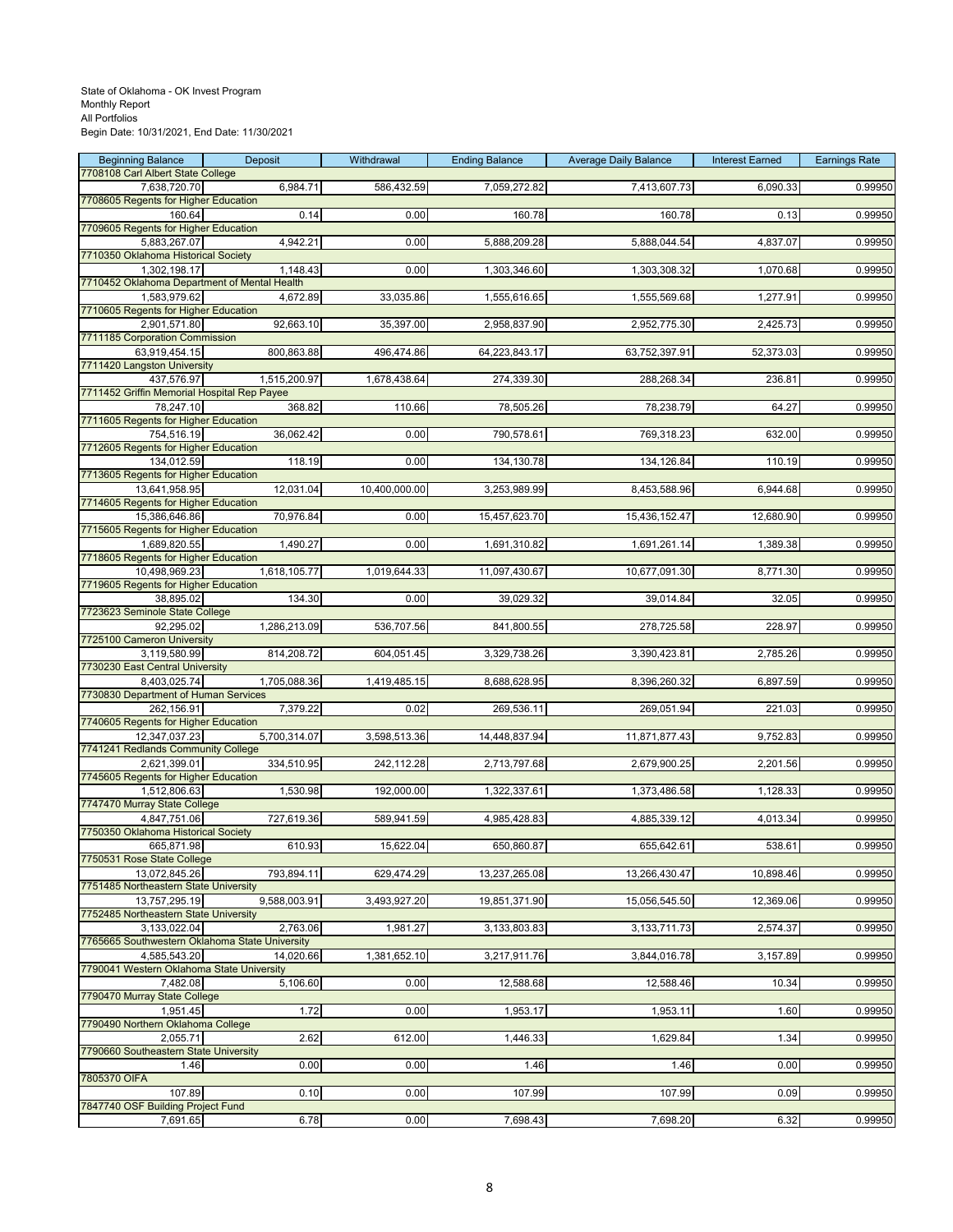| <b>Beginning Balance</b>                                       | Deposit      | Withdrawal    | <b>Ending Balance</b> | <b>Average Daily Balance</b> | <b>Interest Earned</b> | <b>Earnings Rate</b> |
|----------------------------------------------------------------|--------------|---------------|-----------------------|------------------------------|------------------------|----------------------|
| 7708108 Carl Albert State College<br>7,638,720.70              | 6,984.71     | 586,432.59    | 7,059,272.82          | 7,413,607.73                 | 6,090.33               | 0.99950              |
| 7708605 Regents for Higher Education                           |              |               |                       |                              |                        |                      |
| 160.64                                                         | 0.14         | 0.00          | 160.78                | 160.78                       | 0.13                   | 0.99950              |
| 7709605 Regents for Higher Education<br>5,883,267.07           | 4,942.21     | 0.00          | 5,888,209.28          | 5,888,044.54                 | 4,837.07               | 0.99950              |
| 7710350 Oklahoma Historical Society                            |              |               |                       |                              |                        |                      |
| 1,302,198.17                                                   | 1,148.43     | 0.00          | 1,303,346.60          | 1,303,308.32                 | 1,070.68               | 0.99950              |
| 7710452 Oklahoma Department of Mental Health                   |              |               |                       |                              |                        |                      |
| 1,583,979.62<br>7710605 Regents for Higher Education           | 4,672.89     | 33,035.86     | 1,555,616.65          | 1,555,569.68                 | 1,277.91               | 0.99950              |
| 2.901.571.80                                                   | 92,663.10    | 35,397.00     | 2,958,837.90          | 2,952,775.30                 | 2,425.73               | 0.99950              |
| 7711185 Corporation Commission                                 |              |               |                       |                              |                        |                      |
| 63,919,454.15<br>7711420 Langston University                   | 800,863.88   | 496,474.86    | 64,223,843.17         | 63,752,397.91                | 52,373.03              | 0.99950              |
| 437,576.97                                                     | 1,515,200.97 | 1,678,438.64  | 274,339.30            | 288,268.34                   | 236.81                 | 0.99950              |
| 7711452 Griffin Memorial Hospital Rep Payee                    |              |               |                       |                              |                        |                      |
| 78,247.10<br>7711605 Regents for Higher Education              | 368.82       | 110.66        | 78,505.26             | 78,238.79                    | 64.27                  | 0.99950              |
| 754,516.19                                                     | 36,062.42    | 0.00          | 790,578.61            | 769,318.23                   | 632.00                 | 0.99950              |
| 7712605 Regents for Higher Education                           |              |               |                       |                              |                        |                      |
| 134,012.59                                                     | 118.19       | 0.00          | 134,130.78            | 134,126.84                   | 110.19                 | 0.99950              |
| 7713605 Regents for Higher Education<br>13,641,958.95          | 12,031.04    | 10,400,000.00 | 3,253,989.99          | 8,453,588.96                 | 6,944.68               | 0.99950              |
| 7714605 Regents for Higher Education                           |              |               |                       |                              |                        |                      |
| 15,386,646.86                                                  | 70,976.84    | 0.00          | 15,457,623.70         | 15,436,152.47                | 12,680.90              | 0.99950              |
| 7715605 Regents for Higher Education<br>1,689,820.55           | 1,490.27     | 0.00          | 1,691,310.82          | 1,691,261.14                 | 1,389.38               | 0.99950              |
| 7718605 Regents for Higher Education                           |              |               |                       |                              |                        |                      |
| 10,498,969.23                                                  | 1,618,105.77 | 1,019,644.33  | 11,097,430.67         | 10,677,091.30                | 8,771.30               | 0.99950              |
| 7719605 Regents for Higher Education                           | 134.30       | 0.00          | 39,029.32             |                              | 32.05                  | 0.99950              |
| 38,895.02<br>7723623 Seminole State College                    |              |               |                       | 39,014.84                    |                        |                      |
| 92,295.02                                                      | 1,286,213.09 | 536,707.56    | 841,800.55            | 278,725.58                   | 228.97                 | 0.99950              |
| 7725100 Cameron University                                     |              |               |                       |                              |                        |                      |
| 3,119,580.99<br>7730230 East Central University                | 814,208.72   | 604,051.45    | 3,329,738.26          | 3,390,423.81                 | 2,785.26               | 0.99950              |
| 8,403,025.74                                                   | 1,705,088.36 | 1,419,485.15  | 8,688,628.95          | 8,396,260.32                 | 6,897.59               | 0.99950              |
| 7730830 Department of Human Services                           |              |               |                       |                              |                        |                      |
| 262,156.91<br>7740605 Regents for Higher Education             | 7,379.22     | 0.02          | 269,536.11            | 269,051.94                   | 221.03                 | 0.99950              |
| 12,347,037.23                                                  | 5,700,314.07 | 3,598,513.36  | 14,448,837.94         | 11,871,877.43                | 9,752.83               | 0.99950              |
| 7741241 Redlands Community College                             |              |               |                       |                              |                        |                      |
| 2,621,399.01<br>7745605 Regents for Higher Education           | 334,510.95   | 242,112.28    | 2,713,797.68          | 2,679,900.25                 | 2,201.56               | 0.99950              |
| 1,512,806.63                                                   | 1,530.98     | 192,000.00    | 1,322,337.61          | 1,373,486.58                 | 1,128.33               | 0.99950              |
| 7747470 Murray State College                                   |              |               |                       |                              |                        |                      |
| 4,847,751.06                                                   | 727,619.36   | 589,941.59    | 4,985,428.83          | 4,885,339.12                 | 4,013.34               | 0.99950              |
| 7750350 Oklahoma Historical Society<br>665,871.98              | 610.93       | 15,622.04     | 650,860.87            | 655,642.61                   | 538.61                 | 0.99950              |
| 7750531 Rose State College                                     |              |               |                       |                              |                        |                      |
| 13,072,845.26                                                  | 793,894.11   | 629,474.29    | 13,237,265.08         | 13,266,430.47                | 10,898.46              | 0.99950              |
| 7751485 Northeastern State University<br>13,757,295.19         | 9,588,003.91 | 3,493,927.20  | 19,851,371.90         | 15,056,545.50                | 12,369.06              | 0.99950              |
| 7752485 Northeastern State University                          |              |               |                       |                              |                        |                      |
| 3,133,022.04                                                   | 2,763.06     | 1,981.27      | 3,133,803.83          | 3,133,711.73                 | 2,574.37               | 0.99950              |
| 7765665 Southwestern Oklahoma State University<br>4,585,543.20 |              | 1,381,652.10  | 3,217,911.76          | 3,844,016.78                 | 3,157.89               | 0.99950              |
| 7790041 Western Oklahoma State University                      | 14,020.66    |               |                       |                              |                        |                      |
| 7,482.08                                                       | 5,106.60     | 0.00          | 12,588.68             | 12,588.46                    | 10.34                  | 0.99950              |
| 7790470 Murray State College<br>1,951.45                       |              |               |                       |                              |                        |                      |
| 7790490 Northern Oklahoma College                              | 1.72         | 0.00          | 1,953.17              | 1,953.11                     | 1.60                   | 0.99950              |
| 2,055.71                                                       | 2.62         | 612.00        | 1,446.33              | 1,629.84                     | 1.34                   | 0.99950              |
| 7790660 Southeastern State University                          |              |               |                       |                              |                        |                      |
| 1.46<br>7805370 OIFA                                           | 0.00         | 0.00          | 1.46                  | 1.46                         | 0.00                   | 0.99950              |
| 107.89                                                         | 0.10         | 0.00          | 107.99                | 107.99                       | 0.09                   | 0.99950              |
| 7847740 OSF Building Project Fund                              |              |               |                       |                              |                        |                      |
| 7,691.65                                                       | 6.78         | 0.00          | 7,698.43              | 7,698.20                     | 6.32                   | 0.99950              |